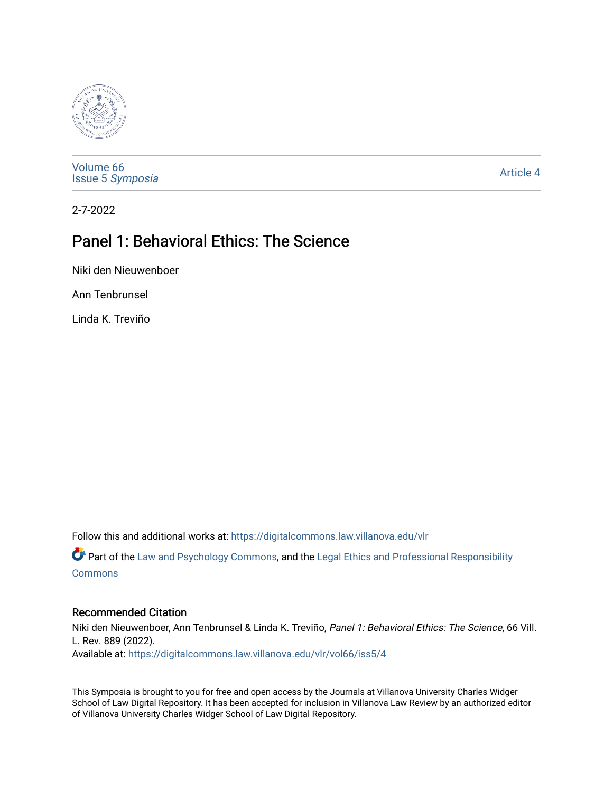

[Volume 66](https://digitalcommons.law.villanova.edu/vlr/vol66) Issue 5 [Symposia](https://digitalcommons.law.villanova.edu/vlr/vol66/iss5) 

[Article 4](https://digitalcommons.law.villanova.edu/vlr/vol66/iss5/4) 

2-7-2022

# Panel 1: Behavioral Ethics: The Science

Niki den Nieuwenboer

Ann Tenbrunsel

Linda K. Treviño

Follow this and additional works at: [https://digitalcommons.law.villanova.edu/vlr](https://digitalcommons.law.villanova.edu/vlr?utm_source=digitalcommons.law.villanova.edu%2Fvlr%2Fvol66%2Fiss5%2F4&utm_medium=PDF&utm_campaign=PDFCoverPages)

Part of the [Law and Psychology Commons,](https://network.bepress.com/hgg/discipline/870?utm_source=digitalcommons.law.villanova.edu%2Fvlr%2Fvol66%2Fiss5%2F4&utm_medium=PDF&utm_campaign=PDFCoverPages) and the [Legal Ethics and Professional Responsibility](https://network.bepress.com/hgg/discipline/895?utm_source=digitalcommons.law.villanova.edu%2Fvlr%2Fvol66%2Fiss5%2F4&utm_medium=PDF&utm_campaign=PDFCoverPages) [Commons](https://network.bepress.com/hgg/discipline/895?utm_source=digitalcommons.law.villanova.edu%2Fvlr%2Fvol66%2Fiss5%2F4&utm_medium=PDF&utm_campaign=PDFCoverPages)

# Recommended Citation

Niki den Nieuwenboer, Ann Tenbrunsel & Linda K. Treviño, Panel 1: Behavioral Ethics: The Science, 66 Vill. L. Rev. 889 (2022). Available at: [https://digitalcommons.law.villanova.edu/vlr/vol66/iss5/4](https://digitalcommons.law.villanova.edu/vlr/vol66/iss5/4?utm_source=digitalcommons.law.villanova.edu%2Fvlr%2Fvol66%2Fiss5%2F4&utm_medium=PDF&utm_campaign=PDFCoverPages) 

This Symposia is brought to you for free and open access by the Journals at Villanova University Charles Widger School of Law Digital Repository. It has been accepted for inclusion in Villanova Law Review by an authorized editor of Villanova University Charles Widger School of Law Digital Repository.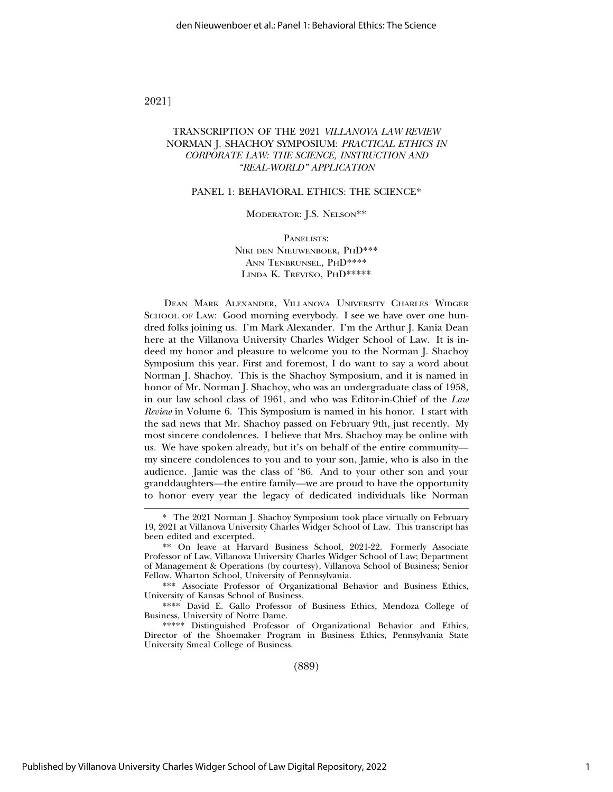### 2021]

# TRANSCRIPTION OF THE 2021 *VILLANOVA LAW REVIEW* NORMAN J. SHACHOY SYMPOSIUM: *PRACTICAL ETHICS IN CORPORATE LAW: THE SCIENCE, INSTRUCTION AND "REAL-WORLD" APPLICATION*

#### PANEL 1: BEHAVIORAL ETHICS: THE SCIENCE\*

#### MODERATOR: J.S. NELSON\*\*

PANELISTS: NIKI DEN NIEUWENBOER, PHD\*\*\* ANN TENBRUNSEL, PHD\*\*\*\* LINDA K. TREVIÑO, PHD\*\*\*\*\*

DEAN MARK ALEXANDER, VILLANOVA UNIVERSITY CHARLES WIDGER SCHOOL OF LAW: Good morning everybody. I see we have over one hundred folks joining us. I'm Mark Alexander. I'm the Arthur J. Kania Dean here at the Villanova University Charles Widger School of Law. It is indeed my honor and pleasure to welcome you to the Norman J. Shachoy Symposium this year. First and foremost, I do want to say a word about Norman J. Shachoy. This is the Shachoy Symposium, and it is named in honor of Mr. Norman J. Shachoy, who was an undergraduate class of 1958, in our law school class of 1961, and who was Editor-in-Chief of the *Law Review* in Volume 6. This Symposium is named in his honor. I start with the sad news that Mr. Shachoy passed on February 9th, just recently. My most sincere condolences. I believe that Mrs. Shachoy may be online with us. We have spoken already, but it's on behalf of the entire community my sincere condolences to you and to your son, Jamie, who is also in the audience. Jamie was the class of '86. And to your other son and your granddaughters—the entire family—we are proud to have the opportunity to honor every year the legacy of dedicated individuals like Norman

\*\*\* Associate Professor of Organizational Behavior and Business Ethics, University of Kansas School of Business.

\*\*\*\* David E. Gallo Professor of Business Ethics, Mendoza College of Business, University of Notre Dame.

\*\*\*\*\* Distinguished Professor of Organizational Behavior and Ethics, Director of the Shoemaker Program in Business Ethics, Pennsylvania State University Smeal College of Business.

(889)

<sup>\*</sup> The 2021 Norman J. Shachoy Symposium took place virtually on February 19, 2021 at Villanova University Charles Widger School of Law. This transcript has been edited and excerpted.

<sup>\*\*</sup> On leave at Harvard Business School, 2021-22. Formerly Associate Professor of Law, Villanova University Charles Widger School of Law; Department of Management & Operations (by courtesy), Villanova School of Business; Senior Fellow, Wharton School, University of Pennsylvania.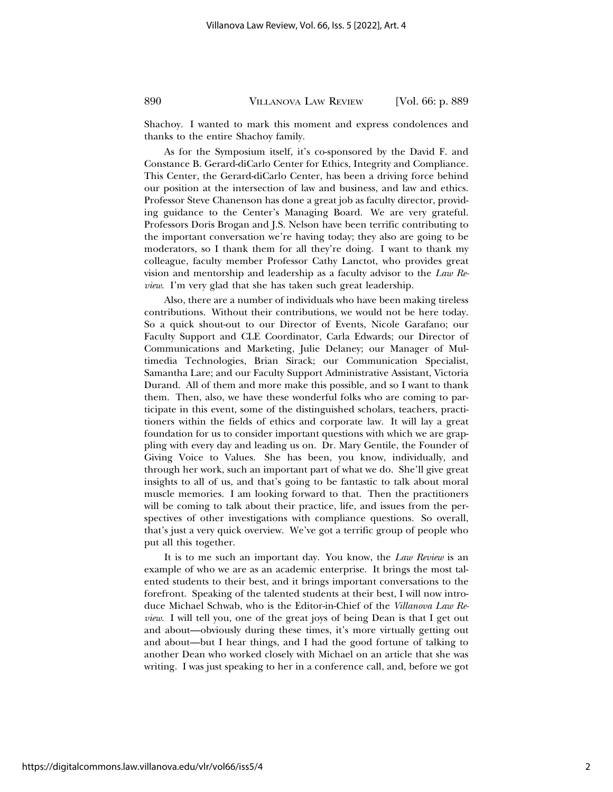Shachoy. I wanted to mark this moment and express condolences and thanks to the entire Shachoy family.

As for the Symposium itself, it's co-sponsored by the David F. and Constance B. Gerard-diCarlo Center for Ethics, Integrity and Compliance. This Center, the Gerard-diCarlo Center, has been a driving force behind our position at the intersection of law and business, and law and ethics. Professor Steve Chanenson has done a great job as faculty director, providing guidance to the Center's Managing Board. We are very grateful. Professors Doris Brogan and J.S. Nelson have been terrific contributing to the important conversation we're having today; they also are going to be moderators, so I thank them for all they're doing. I want to thank my colleague, faculty member Professor Cathy Lanctot, who provides great vision and mentorship and leadership as a faculty advisor to the *Law Review*. I'm very glad that she has taken such great leadership.

Also, there are a number of individuals who have been making tireless contributions. Without their contributions, we would not be here today. So a quick shout-out to our Director of Events, Nicole Garafano; our Faculty Support and CLE Coordinator, Carla Edwards; our Director of Communications and Marketing, Julie Delaney; our Manager of Multimedia Technologies, Brian Sirack; our Communication Specialist, Samantha Lare; and our Faculty Support Administrative Assistant, Victoria Durand. All of them and more make this possible, and so I want to thank them. Then, also, we have these wonderful folks who are coming to participate in this event, some of the distinguished scholars, teachers, practitioners within the fields of ethics and corporate law. It will lay a great foundation for us to consider important questions with which we are grappling with every day and leading us on. Dr. Mary Gentile, the Founder of Giving Voice to Values. She has been, you know, individually, and through her work, such an important part of what we do. She'll give great insights to all of us, and that's going to be fantastic to talk about moral muscle memories. I am looking forward to that. Then the practitioners will be coming to talk about their practice, life, and issues from the perspectives of other investigations with compliance questions. So overall, that's just a very quick overview. We've got a terrific group of people who put all this together.

It is to me such an important day. You know, the *Law Review* is an example of who we are as an academic enterprise. It brings the most talented students to their best, and it brings important conversations to the forefront. Speaking of the talented students at their best, I will now introduce Michael Schwab, who is the Editor-in-Chief of the *Villanova Law Review*. I will tell you, one of the great joys of being Dean is that I get out and about—obviously during these times, it's more virtually getting out and about—but I hear things, and I had the good fortune of talking to another Dean who worked closely with Michael on an article that she was writing. I was just speaking to her in a conference call, and, before we got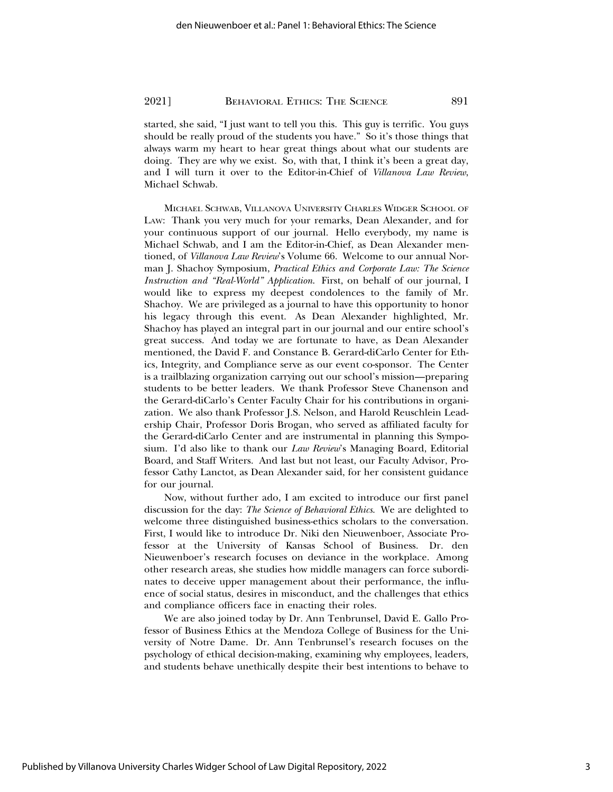started, she said, "I just want to tell you this. This guy is terrific. You guys should be really proud of the students you have." So it's those things that always warm my heart to hear great things about what our students are doing. They are why we exist. So, with that, I think it's been a great day, and I will turn it over to the Editor-in-Chief of *Villanova Law Review*, Michael Schwab.

MICHAEL SCHWAB, VILLANOVA UNIVERSITY CHARLES WIDGER SCHOOL OF LAW: Thank you very much for your remarks, Dean Alexander, and for your continuous support of our journal. Hello everybody, my name is Michael Schwab, and I am the Editor-in-Chief, as Dean Alexander mentioned, of *Villanova Law Review*'s Volume 66. Welcome to our annual Norman J. Shachoy Symposium, *Practical Ethics and Corporate Law: The Science Instruction and "Real-World" Application*. First, on behalf of our journal, I would like to express my deepest condolences to the family of Mr. Shachoy. We are privileged as a journal to have this opportunity to honor his legacy through this event. As Dean Alexander highlighted, Mr. Shachoy has played an integral part in our journal and our entire school's great success. And today we are fortunate to have, as Dean Alexander mentioned, the David F. and Constance B. Gerard-diCarlo Center for Ethics, Integrity, and Compliance serve as our event co-sponsor. The Center is a trailblazing organization carrying out our school's mission—preparing students to be better leaders. We thank Professor Steve Chanenson and the Gerard-diCarlo's Center Faculty Chair for his contributions in organization. We also thank Professor J.S. Nelson, and Harold Reuschlein Leadership Chair, Professor Doris Brogan, who served as affiliated faculty for the Gerard-diCarlo Center and are instrumental in planning this Symposium. I'd also like to thank our *Law Review*'s Managing Board, Editorial Board, and Staff Writers. And last but not least, our Faculty Advisor, Professor Cathy Lanctot, as Dean Alexander said, for her consistent guidance for our journal.

Now, without further ado, I am excited to introduce our first panel discussion for the day: *The Science of Behavioral Ethics*. We are delighted to welcome three distinguished business-ethics scholars to the conversation. First, I would like to introduce Dr. Niki den Nieuwenboer, Associate Professor at the University of Kansas School of Business. Dr. den Nieuwenboer's research focuses on deviance in the workplace. Among other research areas, she studies how middle managers can force subordinates to deceive upper management about their performance, the influence of social status, desires in misconduct, and the challenges that ethics and compliance officers face in enacting their roles.

We are also joined today by Dr. Ann Tenbrunsel, David E. Gallo Professor of Business Ethics at the Mendoza College of Business for the University of Notre Dame. Dr. Ann Tenbrunsel's research focuses on the psychology of ethical decision-making, examining why employees, leaders, and students behave unethically despite their best intentions to behave to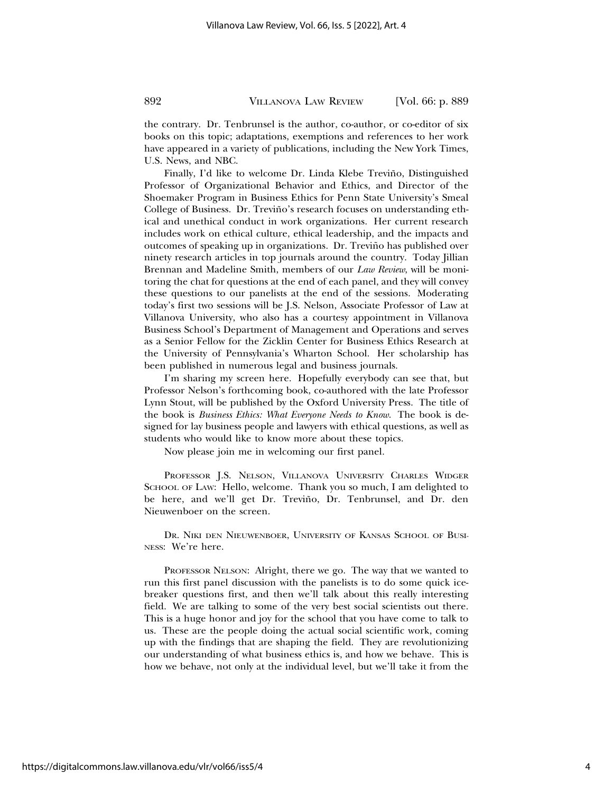the contrary. Dr. Tenbrunsel is the author, co-author, or co-editor of six books on this topic; adaptations, exemptions and references to her work have appeared in a variety of publications, including the New York Times, U.S. News, and NBC.

Finally, I'd like to welcome Dr. Linda Klebe Treviño, Distinguished Professor of Organizational Behavior and Ethics, and Director of the Shoemaker Program in Business Ethics for Penn State University's Smeal College of Business. Dr. Treviño's research focuses on understanding ethical and unethical conduct in work organizations. Her current research includes work on ethical culture, ethical leadership, and the impacts and outcomes of speaking up in organizations. Dr. Treviño has published over ninety research articles in top journals around the country. Today Jillian Brennan and Madeline Smith, members of our *Law Review*, will be monitoring the chat for questions at the end of each panel, and they will convey these questions to our panelists at the end of the sessions. Moderating today's first two sessions will be J.S. Nelson, Associate Professor of Law at Villanova University, who also has a courtesy appointment in Villanova Business School's Department of Management and Operations and serves as a Senior Fellow for the Zicklin Center for Business Ethics Research at the University of Pennsylvania's Wharton School. Her scholarship has been published in numerous legal and business journals.

I'm sharing my screen here. Hopefully everybody can see that, but Professor Nelson's forthcoming book, co-authored with the late Professor Lynn Stout, will be published by the Oxford University Press. The title of the book is *Business Ethics: What Everyone Needs to Know*. The book is designed for lay business people and lawyers with ethical questions, as well as students who would like to know more about these topics.

Now please join me in welcoming our first panel.

PROFESSOR J.S. NELSON, VILLANOVA UNIVERSITY CHARLES WIDGER SCHOOL OF LAW: Hello, welcome. Thank you so much, I am delighted to be here, and we'll get Dr. Treviño, Dr. Tenbrunsel, and Dr. den Nieuwenboer on the screen.

DR. NIKI DEN NIEUWENBOER, UNIVERSITY OF KANSAS SCHOOL OF BUSI-NESS: We're here.

PROFESSOR NELSON: Alright, there we go. The way that we wanted to run this first panel discussion with the panelists is to do some quick icebreaker questions first, and then we'll talk about this really interesting field. We are talking to some of the very best social scientists out there. This is a huge honor and joy for the school that you have come to talk to us. These are the people doing the actual social scientific work, coming up with the findings that are shaping the field. They are revolutionizing our understanding of what business ethics is, and how we behave. This is how we behave, not only at the individual level, but we'll take it from the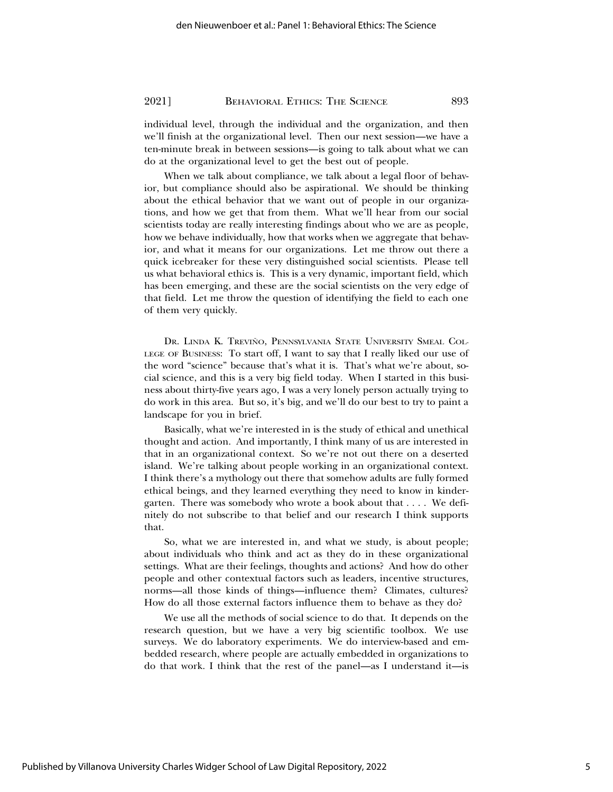individual level, through the individual and the organization, and then we'll finish at the organizational level. Then our next session—we have a ten-minute break in between sessions—is going to talk about what we can do at the organizational level to get the best out of people.

When we talk about compliance, we talk about a legal floor of behavior, but compliance should also be aspirational. We should be thinking about the ethical behavior that we want out of people in our organizations, and how we get that from them. What we'll hear from our social scientists today are really interesting findings about who we are as people, how we behave individually, how that works when we aggregate that behavior, and what it means for our organizations. Let me throw out there a quick icebreaker for these very distinguished social scientists. Please tell us what behavioral ethics is. This is a very dynamic, important field, which has been emerging, and these are the social scientists on the very edge of that field. Let me throw the question of identifying the field to each one of them very quickly.

DR. LINDA K. TREVIÑO, PENNSYLVANIA STATE UNIVERSITY SMEAL COL-LEGE OF BUSINESS: To start off, I want to say that I really liked our use of the word "science" because that's what it is. That's what we're about, social science, and this is a very big field today. When I started in this business about thirty-five years ago, I was a very lonely person actually trying to do work in this area. But so, it's big, and we'll do our best to try to paint a landscape for you in brief.

Basically, what we're interested in is the study of ethical and unethical thought and action. And importantly, I think many of us are interested in that in an organizational context. So we're not out there on a deserted island. We're talking about people working in an organizational context. I think there's a mythology out there that somehow adults are fully formed ethical beings, and they learned everything they need to know in kindergarten. There was somebody who wrote a book about that . . . . We definitely do not subscribe to that belief and our research I think supports that.

So, what we are interested in, and what we study, is about people; about individuals who think and act as they do in these organizational settings. What are their feelings, thoughts and actions? And how do other people and other contextual factors such as leaders, incentive structures, norms—all those kinds of things—influence them? Climates, cultures? How do all those external factors influence them to behave as they do?

We use all the methods of social science to do that. It depends on the research question, but we have a very big scientific toolbox. We use surveys. We do laboratory experiments. We do interview-based and embedded research, where people are actually embedded in organizations to do that work. I think that the rest of the panel—as I understand it—is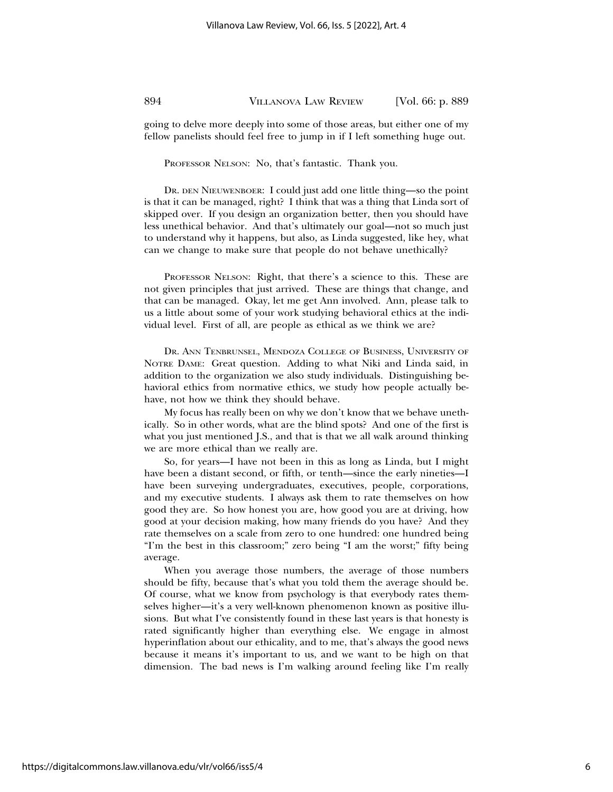going to delve more deeply into some of those areas, but either one of my fellow panelists should feel free to jump in if I left something huge out.

PROFESSOR NELSON: No, that's fantastic. Thank you.

DR. DEN NIEUWENBOER: I could just add one little thing—so the point is that it can be managed, right? I think that was a thing that Linda sort of skipped over. If you design an organization better, then you should have less unethical behavior. And that's ultimately our goal—not so much just to understand why it happens, but also, as Linda suggested, like hey, what can we change to make sure that people do not behave unethically?

PROFESSOR NELSON: Right, that there's a science to this. These are not given principles that just arrived. These are things that change, and that can be managed. Okay, let me get Ann involved. Ann, please talk to us a little about some of your work studying behavioral ethics at the individual level. First of all, are people as ethical as we think we are?

DR. ANN TENBRUNSEL, MENDOZA COLLEGE OF BUSINESS, UNIVERSITY OF NOTRE DAME: Great question. Adding to what Niki and Linda said, in addition to the organization we also study individuals. Distinguishing behavioral ethics from normative ethics, we study how people actually behave, not how we think they should behave.

My focus has really been on why we don't know that we behave unethically. So in other words, what are the blind spots? And one of the first is what you just mentioned *J.S.*, and that is that we all walk around thinking we are more ethical than we really are.

So, for years—I have not been in this as long as Linda, but I might have been a distant second, or fifth, or tenth—since the early nineties—I have been surveying undergraduates, executives, people, corporations, and my executive students. I always ask them to rate themselves on how good they are. So how honest you are, how good you are at driving, how good at your decision making, how many friends do you have? And they rate themselves on a scale from zero to one hundred: one hundred being "I'm the best in this classroom;" zero being "I am the worst;" fifty being average.

When you average those numbers, the average of those numbers should be fifty, because that's what you told them the average should be. Of course, what we know from psychology is that everybody rates themselves higher—it's a very well-known phenomenon known as positive illusions. But what I've consistently found in these last years is that honesty is rated significantly higher than everything else. We engage in almost hyperinflation about our ethicality, and to me, that's always the good news because it means it's important to us, and we want to be high on that dimension. The bad news is I'm walking around feeling like I'm really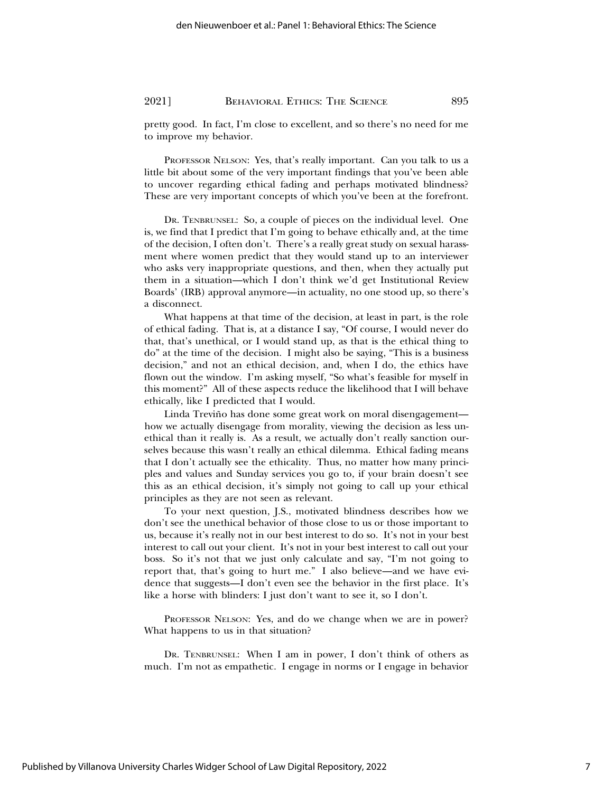pretty good. In fact, I'm close to excellent, and so there's no need for me to improve my behavior.

PROFESSOR NELSON: Yes, that's really important. Can you talk to us a little bit about some of the very important findings that you've been able to uncover regarding ethical fading and perhaps motivated blindness? These are very important concepts of which you've been at the forefront.

DR. TENBRUNSEL: So, a couple of pieces on the individual level. One is, we find that I predict that I'm going to behave ethically and, at the time of the decision, I often don't. There's a really great study on sexual harassment where women predict that they would stand up to an interviewer who asks very inappropriate questions, and then, when they actually put them in a situation—which I don't think we'd get Institutional Review Boards' (IRB) approval anymore—in actuality, no one stood up, so there's a disconnect.

What happens at that time of the decision, at least in part, is the role of ethical fading. That is, at a distance I say, "Of course, I would never do that, that's unethical, or I would stand up, as that is the ethical thing to do" at the time of the decision. I might also be saying, "This is a business decision," and not an ethical decision, and, when I do, the ethics have flown out the window. I'm asking myself, "So what's feasible for myself in this moment?" All of these aspects reduce the likelihood that I will behave ethically, like I predicted that I would.

Linda Treviño has done some great work on moral disengagement how we actually disengage from morality, viewing the decision as less unethical than it really is. As a result, we actually don't really sanction ourselves because this wasn't really an ethical dilemma. Ethical fading means that I don't actually see the ethicality. Thus, no matter how many principles and values and Sunday services you go to, if your brain doesn't see this as an ethical decision, it's simply not going to call up your ethical principles as they are not seen as relevant.

To your next question, J.S., motivated blindness describes how we don't see the unethical behavior of those close to us or those important to us, because it's really not in our best interest to do so. It's not in your best interest to call out your client. It's not in your best interest to call out your boss. So it's not that we just only calculate and say, "I'm not going to report that, that's going to hurt me." I also believe—and we have evidence that suggests—I don't even see the behavior in the first place. It's like a horse with blinders: I just don't want to see it, so I don't.

PROFESSOR NELSON: Yes, and do we change when we are in power? What happens to us in that situation?

DR. TENBRUNSEL: When I am in power, I don't think of others as much. I'm not as empathetic. I engage in norms or I engage in behavior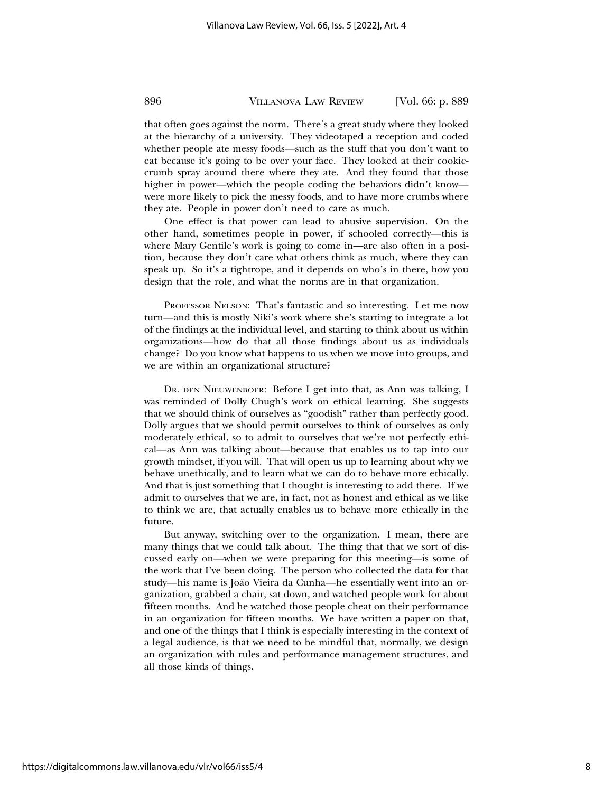that often goes against the norm. There's a great study where they looked at the hierarchy of a university. They videotaped a reception and coded whether people ate messy foods—such as the stuff that you don't want to eat because it's going to be over your face. They looked at their cookiecrumb spray around there where they ate. And they found that those higher in power—which the people coding the behaviors didn't know were more likely to pick the messy foods, and to have more crumbs where they ate. People in power don't need to care as much.

One effect is that power can lead to abusive supervision. On the other hand, sometimes people in power, if schooled correctly—this is where Mary Gentile's work is going to come in—are also often in a position, because they don't care what others think as much, where they can speak up. So it's a tightrope, and it depends on who's in there, how you design that the role, and what the norms are in that organization.

PROFESSOR NELSON: That's fantastic and so interesting. Let me now turn—and this is mostly Niki's work where she's starting to integrate a lot of the findings at the individual level, and starting to think about us within organizations—how do that all those findings about us as individuals change? Do you know what happens to us when we move into groups, and we are within an organizational structure?

DR. DEN NIEUWENBOER: Before I get into that, as Ann was talking, I was reminded of Dolly Chugh's work on ethical learning. She suggests that we should think of ourselves as "goodish" rather than perfectly good. Dolly argues that we should permit ourselves to think of ourselves as only moderately ethical, so to admit to ourselves that we're not perfectly ethical—as Ann was talking about—because that enables us to tap into our growth mindset, if you will. That will open us up to learning about why we behave unethically, and to learn what we can do to behave more ethically. And that is just something that I thought is interesting to add there. If we admit to ourselves that we are, in fact, not as honest and ethical as we like to think we are, that actually enables us to behave more ethically in the future.

But anyway, switching over to the organization. I mean, there are many things that we could talk about. The thing that that we sort of discussed early on—when we were preparing for this meeting—is some of the work that I've been doing. The person who collected the data for that study—his name is João Vieira da Cunha—he essentially went into an organization, grabbed a chair, sat down, and watched people work for about fifteen months. And he watched those people cheat on their performance in an organization for fifteen months. We have written a paper on that, and one of the things that I think is especially interesting in the context of a legal audience, is that we need to be mindful that, normally, we design an organization with rules and performance management structures, and all those kinds of things.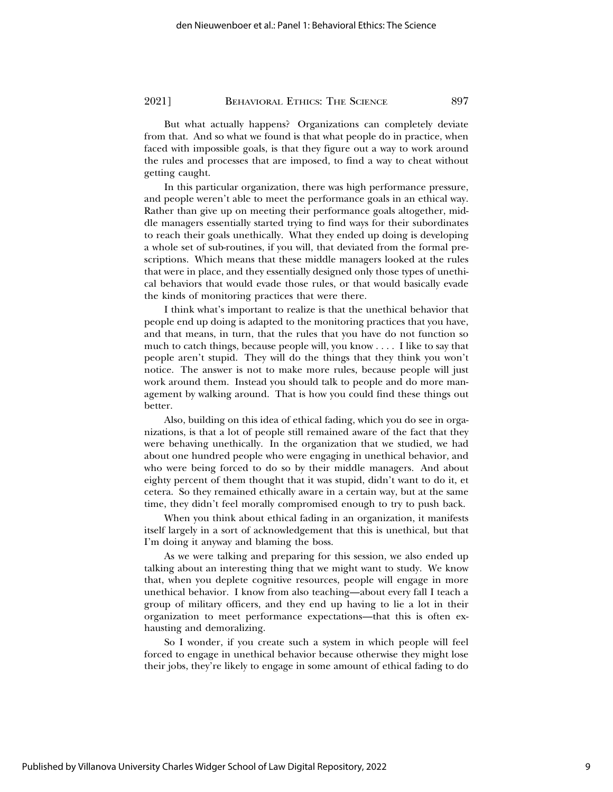But what actually happens? Organizations can completely deviate from that. And so what we found is that what people do in practice, when faced with impossible goals, is that they figure out a way to work around the rules and processes that are imposed, to find a way to cheat without getting caught.

In this particular organization, there was high performance pressure, and people weren't able to meet the performance goals in an ethical way. Rather than give up on meeting their performance goals altogether, middle managers essentially started trying to find ways for their subordinates to reach their goals unethically. What they ended up doing is developing a whole set of sub-routines, if you will, that deviated from the formal prescriptions. Which means that these middle managers looked at the rules that were in place, and they essentially designed only those types of unethical behaviors that would evade those rules, or that would basically evade the kinds of monitoring practices that were there.

I think what's important to realize is that the unethical behavior that people end up doing is adapted to the monitoring practices that you have, and that means, in turn, that the rules that you have do not function so much to catch things, because people will, you know . . . . I like to say that people aren't stupid. They will do the things that they think you won't notice. The answer is not to make more rules, because people will just work around them. Instead you should talk to people and do more management by walking around. That is how you could find these things out better.

Also, building on this idea of ethical fading, which you do see in organizations, is that a lot of people still remained aware of the fact that they were behaving unethically. In the organization that we studied, we had about one hundred people who were engaging in unethical behavior, and who were being forced to do so by their middle managers. And about eighty percent of them thought that it was stupid, didn't want to do it, et cetera. So they remained ethically aware in a certain way, but at the same time, they didn't feel morally compromised enough to try to push back.

When you think about ethical fading in an organization, it manifests itself largely in a sort of acknowledgement that this is unethical, but that I'm doing it anyway and blaming the boss.

As we were talking and preparing for this session, we also ended up talking about an interesting thing that we might want to study. We know that, when you deplete cognitive resources, people will engage in more unethical behavior. I know from also teaching—about every fall I teach a group of military officers, and they end up having to lie a lot in their organization to meet performance expectations—that this is often exhausting and demoralizing.

So I wonder, if you create such a system in which people will feel forced to engage in unethical behavior because otherwise they might lose their jobs, they're likely to engage in some amount of ethical fading to do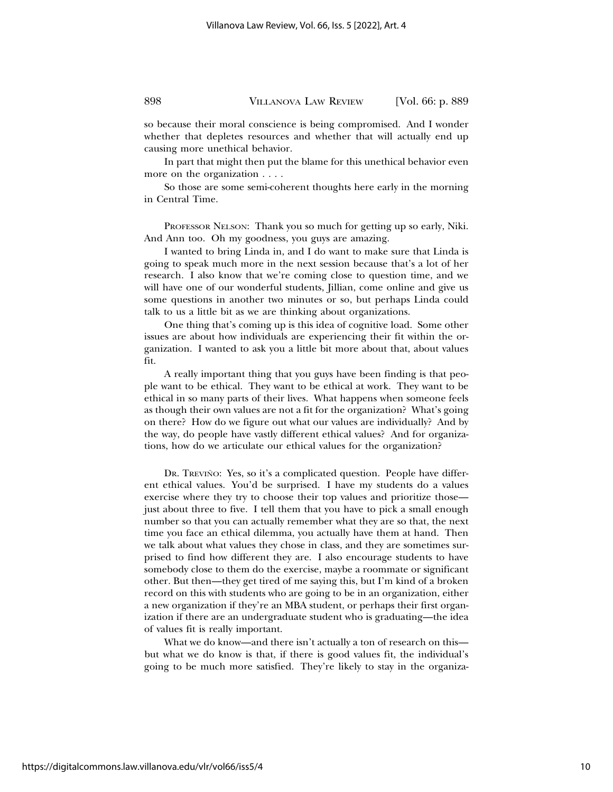so because their moral conscience is being compromised. And I wonder whether that depletes resources and whether that will actually end up causing more unethical behavior.

In part that might then put the blame for this unethical behavior even more on the organization . . . .

So those are some semi-coherent thoughts here early in the morning in Central Time.

PROFESSOR NELSON: Thank you so much for getting up so early, Niki. And Ann too. Oh my goodness, you guys are amazing.

I wanted to bring Linda in, and I do want to make sure that Linda is going to speak much more in the next session because that's a lot of her research. I also know that we're coming close to question time, and we will have one of our wonderful students, Jillian, come online and give us some questions in another two minutes or so, but perhaps Linda could talk to us a little bit as we are thinking about organizations.

One thing that's coming up is this idea of cognitive load. Some other issues are about how individuals are experiencing their fit within the organization. I wanted to ask you a little bit more about that, about values fit.

A really important thing that you guys have been finding is that people want to be ethical. They want to be ethical at work. They want to be ethical in so many parts of their lives. What happens when someone feels as though their own values are not a fit for the organization? What's going on there? How do we figure out what our values are individually? And by the way, do people have vastly different ethical values? And for organizations, how do we articulate our ethical values for the organization?

DR. TREVIÑO: Yes, so it's a complicated question. People have different ethical values. You'd be surprised. I have my students do a values exercise where they try to choose their top values and prioritize those just about three to five. I tell them that you have to pick a small enough number so that you can actually remember what they are so that, the next time you face an ethical dilemma, you actually have them at hand. Then we talk about what values they chose in class, and they are sometimes surprised to find how different they are. I also encourage students to have somebody close to them do the exercise, maybe a roommate or significant other. But then—they get tired of me saying this, but I'm kind of a broken record on this with students who are going to be in an organization, either a new organization if they're an MBA student, or perhaps their first organization if there are an undergraduate student who is graduating—the idea of values fit is really important.

What we do know—and there isn't actually a ton of research on this but what we do know is that, if there is good values fit, the individual's going to be much more satisfied. They're likely to stay in the organiza-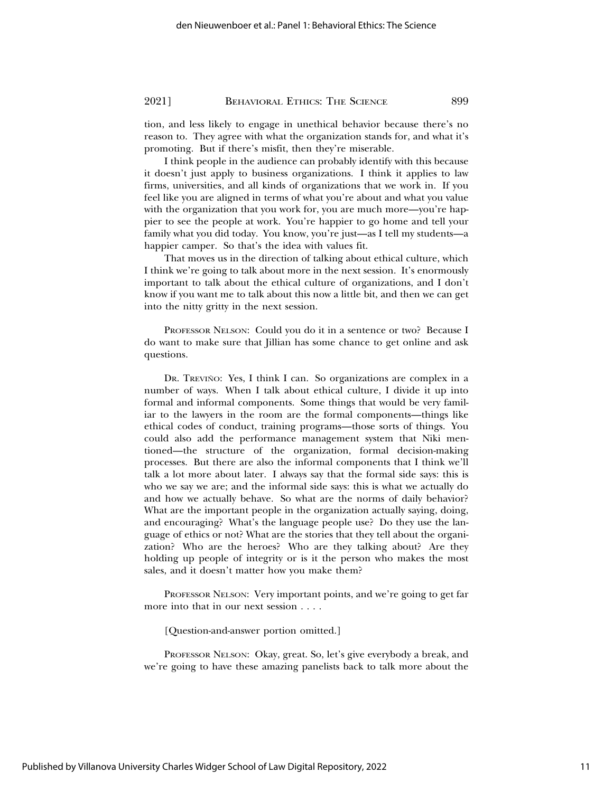tion, and less likely to engage in unethical behavior because there's no reason to. They agree with what the organization stands for, and what it's promoting. But if there's misfit, then they're miserable.

I think people in the audience can probably identify with this because it doesn't just apply to business organizations. I think it applies to law firms, universities, and all kinds of organizations that we work in. If you feel like you are aligned in terms of what you're about and what you value with the organization that you work for, you are much more—you're happier to see the people at work. You're happier to go home and tell your family what you did today. You know, you're just—as I tell my students—a happier camper. So that's the idea with values fit.

That moves us in the direction of talking about ethical culture, which I think we're going to talk about more in the next session. It's enormously important to talk about the ethical culture of organizations, and I don't know if you want me to talk about this now a little bit, and then we can get into the nitty gritty in the next session.

PROFESSOR NELSON: Could you do it in a sentence or two? Because I do want to make sure that Jillian has some chance to get online and ask questions.

DR. TREVIÑO: Yes, I think I can. So organizations are complex in a number of ways. When I talk about ethical culture, I divide it up into formal and informal components. Some things that would be very familiar to the lawyers in the room are the formal components—things like ethical codes of conduct, training programs—those sorts of things. You could also add the performance management system that Niki mentioned—the structure of the organization, formal decision-making processes. But there are also the informal components that I think we'll talk a lot more about later. I always say that the formal side says: this is who we say we are; and the informal side says: this is what we actually do and how we actually behave. So what are the norms of daily behavior? What are the important people in the organization actually saying, doing, and encouraging? What's the language people use? Do they use the language of ethics or not? What are the stories that they tell about the organization? Who are the heroes? Who are they talking about? Are they holding up people of integrity or is it the person who makes the most sales, and it doesn't matter how you make them?

PROFESSOR NELSON: Very important points, and we're going to get far more into that in our next session . . . .

[Question-and-answer portion omitted.]

PROFESSOR NELSON: Okay, great. So, let's give everybody a break, and we're going to have these amazing panelists back to talk more about the